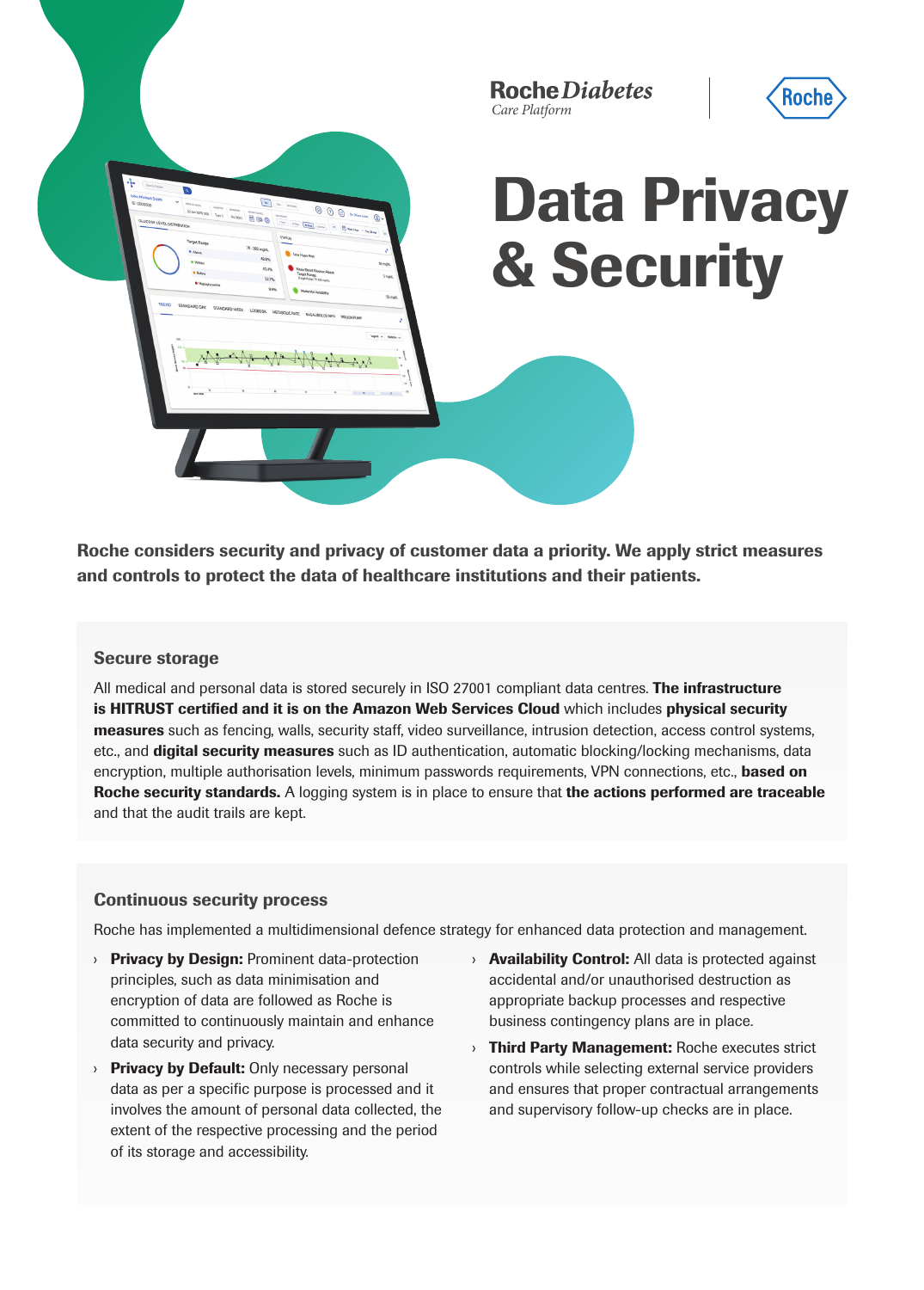**Roche Diabetes** *Care Platform*



# Data Privacy & Security

Roche considers security and privacy of customer data a priority. We apply strict measures and controls to protect the data of healthcare institutions and their patients.

# Secure storage

All medical and personal data is stored securely in ISO 27001 compliant data centres. The infrastructure is HITRUST certified and it is on the Amazon Web Services Cloud which includes physical security measures such as fencing, walls, security staff, video surveillance, intrusion detection, access control systems, etc., and digital security measures such as ID authentication, automatic blocking/locking mechanisms, data encryption, multiple authorisation levels, minimum passwords requirements, VPN connections, etc., **based on** Roche security standards. A logging system is in place to ensure that the actions performed are traceable and that the audit trails are kept.

# Continuous security process

Roche has implemented a multidimensional defence strategy for enhanced data protection and management.

- **Privacy by Design: Prominent data-protection** principles, such as data minimisation and encryption of data are followed as Roche is committed to continuously maintain and enhance data security and privacy.
- **Privacy by Default:** Only necessary personal data as per a specific purpose is processed and it involves the amount of personal data collected, the extent of the respective processing and the period of its storage and accessibility.
- $\rightarrow$  **Availability Control:** All data is protected against accidental and/or unauthorised destruction as appropriate backup processes and respective business contingency plans are in place.
- **Inird Party Management: Roche executes strict** controls while selecting external service providers and ensures that proper contractual arrangements and supervisory follow-up checks are in place.